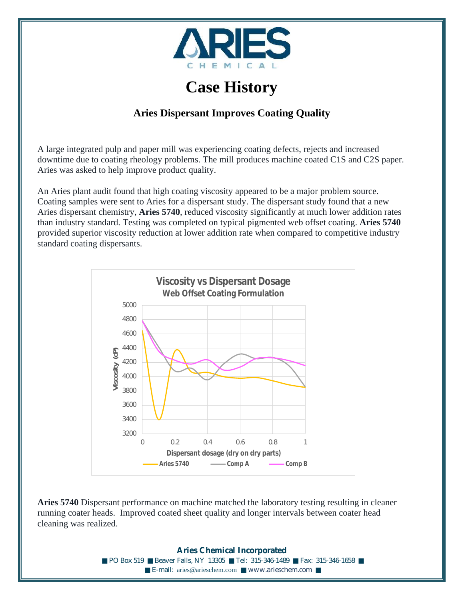

## **Case History**

## **Aries Dispersant Improves Coating Quality**

A large integrated pulp and paper mill was experiencing coating defects, rejects and increased downtime due to coating rheology problems. The mill produces machine coated C1S and C2S paper. Aries was asked to help improve product quality.

An Aries plant audit found that high coating viscosity appeared to be a major problem source. Coating samples were sent to Aries for a dispersant study. The dispersant study found that a new Aries dispersant chemistry, **Aries 5740**, reduced viscosity significantly at much lower addition rates than industry standard. Testing was completed on typical pigmented web offset coating. **Aries 5740** provided superior viscosity reduction at lower addition rate when compared to competitive industry standard coating dispersants.



**Aries 5740** Dispersant performance on machine matched the laboratory testing resulting in cleaner running coater heads. Improved coated sheet quality and longer intervals between coater head cleaning was realized.

> **Aries Chemical Incorporated** ■ PO Box 519 ■ Beaver Falls, NY 13305 ■ Tel: 315-346-1489 ■ Fax: 315-346-1658 ■ E-mail: [aries@arieschem.com](mailto:aries@arieschem.com) www.arieschem.com